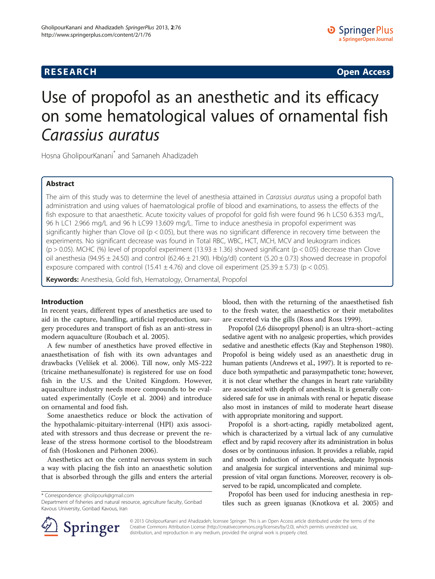## **RESEARCH CHINESE ARCH CHINESE ARCH CHINESE ARCH <b>CHINESE ARCH**

# Use of propofol as an anesthetic and its efficacy on some hematological values of ornamental fish

Carassius auratus Hosna GholipourKanani\* and Samaneh Ahadizadeh

## Abstract

The aim of this study was to determine the level of anesthesia attained in Carassius auratus using a propofol bath administration and using values of haematological profile of blood and examinations, to assess the effects of the fish exposure to that anaesthetic. Acute toxicity values of propofol for gold fish were found 96 h LC50 6.353 mg/L, 96 h LC1 2.966 mg/L and 96 h LC99 13.609 mg/L. Time to induce anesthesia in propofol experiment was significantly higher than Clove oil ( $p < 0.05$ ), but there was no significant difference in recovery time between the experiments. No significant decrease was found in Total RBC, WBC, HCT, MCH, MCV and leukogram indices (p > 0.05). MCHC (%) level of propofol experiment (13.93  $\pm$  1.36) showed significant (p < 0.05) decrease than Clove oil anesthesia (94.95  $\pm$  24.50) and control (62.46  $\pm$  21.90). Hb(g/dl) content (5.20  $\pm$  0.73) showed decrease in propofol exposure compared with control (15.41  $\pm$  4.76) and clove oil experiment (25.39  $\pm$  5.73) (p < 0.05).

Keywords: Anesthesia, Gold fish, Hematology, Ornamental, Propofol

#### Introduction

In recent years, different types of anesthetics are used to aid in the capture, handling, artificial reproduction, surgery procedures and transport of fish as an anti-stress in modern aquaculture (Roubach et al. [2005\)](#page-4-0).

A few number of anesthetics have proved effective in anaesthetisation of fish with its own advantages and drawbacks (Velíšek et al. [2006\)](#page-4-0). Till now, only MS-222 (tricaine methanesulfonate) is registered for use on food fish in the U.S. and the United Kingdom. However, aquaculture industry needs more compounds to be evaluated experimentally (Coyle et al. [2004](#page-3-0)) and introduce on ornamental and food fish.

Some anaesthetics reduce or block the activation of the hypothalamic-pituitary-interrenal (HPI) axis associated with stressors and thus decrease or prevent the release of the stress hormone cortisol to the bloodstream of fish (Hoskonen and Pirhonen [2006\)](#page-4-0).

Anesthetics act on the central nervous system in such a way with placing the fish into an anaesthetic solution that is absorbed through the gills and enters the arterial

\* Correspondence: [gholipourk@gmail.com](mailto:gholipourk@gmail.com)

Department of fisheries and natural resource, agriculture faculty, Gonbad Kavous University, Gonbad Kavous, Iran

blood, then with the returning of the anaesthetised fish to the fresh water, the anaesthetics or their metabolites are excreted via the gills (Ross and Ross [1999\)](#page-4-0).

Propofol (2,6 diisopropyl phenol) is an ultra-short–acting sedative agent with no analgesic properties, which provides sedative and anesthetic effects (Kay and Stephenson [1980](#page-4-0)). Propofol is being widely used as an anaesthetic drug in human patients (Andrews et al., [1997\)](#page-3-0). It is reported to reduce both sympathetic and parasympathetic tone; however, it is not clear whether the changes in heart rate variability are associated with depth of anesthesia. It is generally considered safe for use in animals with renal or hepatic disease also most in instances of mild to moderate heart disease with appropriate monitoring and support.

Propofol is a short-acting, rapidly metabolized agent, which is characterized by a virtual lack of any cumulative effect and by rapid recovery after its administration in bolus doses or by continuous infusion. It provides a reliable, rapid and smooth induction of anaesthesia, adequate hypnosis and analgesia for surgical interventions and minimal suppression of vital organ functions. Moreover, recovery is observed to be rapid, uncomplicated and complete.

Propofol has been used for inducing anesthesia in reptiles such as green iguanas (Knotkova et al. [2005\)](#page-4-0) and



© 2013 GholipourKanani and Ahadizadeh; licensee Springer. This is an Open Access article distributed under the terms of the Creative Commons Attribution License [\(http://creativecommons.org/licenses/by/2.0\)](http://creativecommons.org/licenses/by/2.0), which permits unrestricted use, distribution, and reproduction in any medium, provided the original work is properly cited.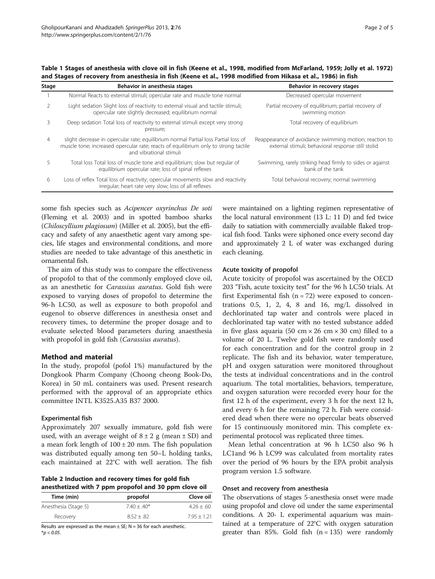<span id="page-1-0"></span>Table 1 Stages of anesthesia with clove oil in fish (Keene et al., [1998,](#page-4-0) modified from McFarland, [1959](#page-4-0); Jolly et al. [1972\)](#page-4-0) and Stages of recovery from anesthesia in fish (Keene et al., [1998](#page-4-0) modified from Hikasa et al., [1986\)](#page-4-0) in fish

| Stage          | Behavior in anesthesia stages                                                                                                                                                                        | Behavior in recovery stages                                                                                  |
|----------------|------------------------------------------------------------------------------------------------------------------------------------------------------------------------------------------------------|--------------------------------------------------------------------------------------------------------------|
|                | Normal Reacts to external stimuli; opercular rate and muscle tone normal                                                                                                                             | Decreased opercular movement                                                                                 |
|                | Light sedation Slight loss of reactivity to external visual and tactile stimuli;<br>opercular rate slightly decreased; equilibrium normal                                                            | Partial recovery of equilibrium; partial recovery of<br>swimming motion                                      |
|                | Deep sedation Total loss of reactivity to external stimuli except very strong<br>pressure;                                                                                                           | Total recovery of equilibrium                                                                                |
| $\overline{4}$ | slight decrease in opercular rate; equilibrium normal Partial loss Partial loss of<br>muscle tone; increased opercular rate; reacts of equilibrium only to strong tactile<br>and vibrational stimuli | Reappearance of avoidance swimming motion; reaction to<br>external stimuli; behavioral response still stolid |
|                | Total loss Total loss of muscle tone and equilibrium; slow but regular of<br>equilibrium opercular rate; loss of spinal reflexes                                                                     | Swimming, rarely striking head firmly to sides or against<br>bank of the tank                                |
| 6              | Loss of reflex Total loss of reactivity; opercular movements slow and reactivity<br>irregular; heart rate very slow; loss of all reflexes                                                            | Total behavioral recovery; normal swimming                                                                   |

some fish species such as Acipencer oxyrinchus De soti (Fleming et al. [2003](#page-3-0)) and in spotted bamboo sharks (Chiloscyllium plagiosum) (Miller et al. [2005\)](#page-4-0), but the efficacy and safety of any anaesthetic agent vary among species, life stages and environmental conditions, and more studies are needed to take advantage of this anesthetic in ornamental fish.

The aim of this study was to compare the effectiveness of propofol to that of the commonly employed clove oil, as an anesthetic for Carassius auratus. Gold fish were exposed to varying doses of propofol to determine the 96-h LC50, as well as exposure to both propofol and eugenol to observe differences in anesthesia onset and recovery times, to determine the proper dosage and to evaluate selected blood parameters during anaesthesia with propofol in gold fish (Carassius auratus).

#### Method and material

In the study, propofol (pofol 1%) manufactured by the Dongkook Pharm Company (Choong cheong Book-Do, Korea) in 50 mL containers was used. Present research performed with the approval of an appropriate ethics committee INTL K3525.A35 B37 2000.

#### Experimental fish

Approximately 207 sexually immature, gold fish were used, with an average weight of  $8 \pm 2$  g (mean  $\pm$  SD) and a mean fork length of  $100 \pm 20$  mm. The fish population was distributed equally among ten 50–L holding tanks, each maintained at 22°C with well aeration. The fish

Table 2 Induction and recovery times for gold fish anesthetized with 7 ppm propofol and 30 ppm clove oil

| Time (min)           | propofol      | Clove oil     |
|----------------------|---------------|---------------|
| Anesthesia (Stage 5) | $7.40 + .40*$ | $4.26 + 60$   |
| Recovery             | $8.52 + .82$  | $7.95 + 1.21$ |

Results are expressed as the mean  $\pm$  SE; N = 36 for each anesthetic.  $*_{p}$  < 0.05.

were maintained on a lighting regimen representative of the local natural environment (13 L: 11 D) and fed twice daily to satiation with commercially available flaked tropical fish food. Tanks were siphoned once every second day and approximately 2 L of water was exchanged during each cleaning.

#### Acute toxicity of propofol

Acute toxicity of propofol was ascertained by the OECD 203 "Fish, acute toxicity test" for the 96 h LC50 trials. At first Experimental fish  $(n = 72)$  were exposed to concentrations  $0.5$ ,  $1$ ,  $2$ ,  $4$ ,  $8$  and  $16$ , mg/L dissolved in dechlorinated tap water and controls were placed in dechlorinated tap water with no tested substance added in five glass aquaria (50 cm  $\times$  26 cm  $\times$  30 cm) filled to a volume of 20 L. Twelve gold fish were randomly used for each concentration and for the control group in 2 replicate. The fish and its behavior, water temperature, pH and oxygen saturation were monitored throughout the tests at individual concentrations and in the control aquarium. The total mortalities, behaviors, temperature, and oxygen saturation were recorded every hour for the first 12 h of the experiment, every 3 h for the next 12 h, and every 6 h for the remaining 72 h. Fish were considered dead when there were no opercular beats observed for 15 continuously monitored min. This complete experimental protocol was replicated three times.

Mean lethal concentration at 96 h LC50 also 96 h LC1and 96 h LC99 was calculated from mortality rates over the period of 96 hours by the EPA probit analysis program version 1.5 software.

## Onset and recovery from anesthesia

The observations of stages 5-anesthesia onset were made using propofol and clove oil under the same experimental conditions. A 20- L experimental aquarium was maintained at a temperature of 22°C with oxygen saturation greater than 85%. Gold fish  $(n = 135)$  were randomly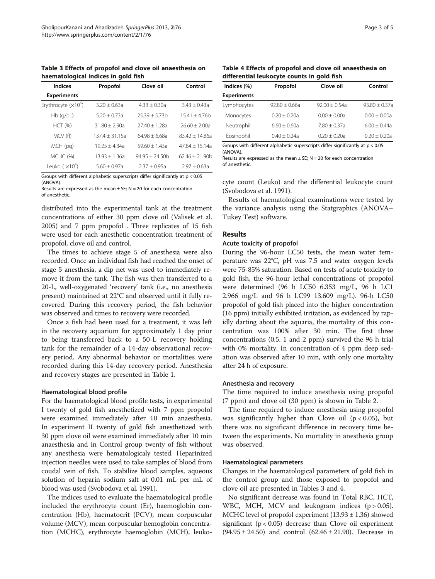Table 3 Effects of propofol and clove oil anaesthesia on haematological indices in gold fish

| Indices               | Propofol         | Clove oil        | Control          |
|-----------------------|------------------|------------------|------------------|
| <b>Experiments</b>    |                  |                  |                  |
| Erythrocyte $(x10^6)$ | $3.20 + 0.63a$   | $4.33 + 0.30a$   | $3.43 + 0.43a$   |
| $Hb$ (q/dL)           | $5.20 + 0.73a$   | $25.39 + 5.73h$  | $15.41 + 4.76b$  |
| HCT (%)               | $31.80 + 2.90a$  | $27.40 + 1.28a$  | $26.60 + 2.00a$  |
| MCV (fl)              | $137.4 + 31.15a$ | $64.98 + 6.68a$  | $83.42 + 14.86a$ |
| MCH (pg)              | $19.25 + 4.34a$  | $59.60 + 1.43a$  | $47.84 + 15.14a$ |
| MCHC (%)              | $13.93 + 1.36a$  | $94.95 + 24.50h$ | $62.46 + 21.90h$ |
| Leuko $(x104)$        | $5.60 + 0.97a$   | $2.37 \pm 0.95a$ | $2.97 + 0.63a$   |

Groups with different alphabetic superscripts differ significantly at p < 0.05 (ANOVA).

Results are expressed as the mean  $\pm$  SE; N = 20 for each concentration of anesthetic.

distributed into the experimental tank at the treatment concentrations of either 30 ppm clove oil (Valisek et al. [2005\)](#page-4-0) and 7 ppm propofol . Three replicates of 15 fish were used for each anesthetic concentration treatment of propofol, clove oil and control.

The times to achieve stage 5 of anesthesia were also recorded. Once an individual fish had reached the onset of stage 5 anesthesia, a dip net was used to immediately remove it from the tank. The fish was then transferred to a 20-L, well-oxygenated 'recovery' tank (i.e., no anesthesia present) maintained at 22°C and observed until it fully recovered. During this recovery period, the fish behavior was observed and times to recovery were recorded.

Once a fish had been used for a treatment, it was left in the recovery aquarium for approximately 1 day prior to being transferred back to a 50-L recovery holding tank for the remainder of a 14-day observational recovery period. Any abnormal behavior or mortalities were recorded during this 14-day recovery period. Anesthesia and recovery stages are presented in Table [1](#page-1-0).

#### Haematological blood profile

For the haematological blood profile tests, in experimental I twenty of gold fish anesthetized with 7 ppm propofol were examined immediately after 10 min anaesthesia. In experiment II twenty of gold fish anesthetized with 30 ppm clove oil were examined immediately after 10 min anaesthesia and in Control group twenty of fish without any anesthesia were hematologicaly tested. Heparinized injection needles were used to take samples of blood from coudal vein of fish. To stabilize blood samples, aqueous solution of heparin sodium salt at 0.01 mL per mL of blood was used (Svobodova et al. [1991](#page-4-0)).

The indices used to evaluate the haematological profile included the erythrocyte count (Er), haemoglobin concentration (Hb), haematocrit (PCV), mean corpuscular volume (MCV), mean corpuscular hemoglobin concentration (MCHC), erythrocyte haemoglobin (MCH), leuko-

|                                            |  | Table 4 Effects of propofol and clove oil anaesthesia on |  |
|--------------------------------------------|--|----------------------------------------------------------|--|
| differential leukocyte counts in gold fish |  |                                                          |  |

| Indices (%)        | Propofol        | Clove oil       | Control          |  |
|--------------------|-----------------|-----------------|------------------|--|
| <b>Experiments</b> |                 |                 |                  |  |
| Lymphocytes        | $92.80 + 0.66a$ | $92.00 + 0.54a$ | $93.80 + 0.37a$  |  |
| Monocytes          | $0.20 + 0.20a$  | $0.00 + 0.00a$  | $0.00 + 0.00a$   |  |
| Neutrophil         | $6.60 + 0.60a$  | $7.80 + 0.37a$  | $6.00 + 0.44a$   |  |
| Eosinophil         | $0.40 + 0.24a$  | $0.20 + 0.20a$  | $0.20 \pm 0.20a$ |  |

Groups with different alphabetic superscripts differ significantly at p < 0.05 (ANOVA).

Results are expressed as the mean  $\pm$  SE; N = 20 for each concentration of anesthetic.

cyte count (Leuko) and the differential leukocyte count (Svobodova et al. [1991](#page-4-0)).

Results of haematological examinations were tested by the variance analysis using the Statgraphics (ANOVA– Tukey Test) software.

#### Results

#### Acute toxicity of propofol

During the 96-hour LC50 tests, the mean water temperature was 22°C, pH was 7.5 and water oxygen levels were 75-85% saturation. Based on tests of acute toxicity to gold fish, the 96-hour lethal concentrations of propofol were determined (96 h LC50 6.353 mg/L, 96 h LC1 2.966 mg/L and 96 h LC99 13.609 mg/L). 96-h LC50 propofol of gold fish placed into the higher concentration (16 ppm) initially exhibited irritation, as evidenced by rapidly darting about the aquaria, the mortality of this concentration was 100% after 30 min. The first three concentrations (0.5. 1 and 2 ppm) survived the 96 h trial with 0% mortality. In concentration of 4 ppm deep sedation was observed after 10 min, with only one mortality after 24 h of exposure.

#### Anesthesia and recovery

The time required to induce anesthesia using propofol (7 ppm) and clove oil (30 ppm) is shown in Table [2.](#page-1-0)

The time required to induce anesthesia using propofol was significantly higher than Clove oil  $(p < 0.05)$ , but there was no significant difference in recovery time between the experiments. No mortality in anesthesia group was observed.

#### Haematological parameters

Changes in the haematological parameters of gold fish in the control group and those exposed to propofol and clove oil are presented in Tables 3 and 4.

No significant decrease was found in Total RBC, HCT, WBC, MCH, MCV and leukogram indices  $(p > 0.05)$ . MCHC level of propofol experiment  $(13.93 \pm 1.36)$  showed significant ( $p < 0.05$ ) decrease than Clove oil experiment (94.95 ± 24.50) and control (62.46 ± 21.90). Decrease in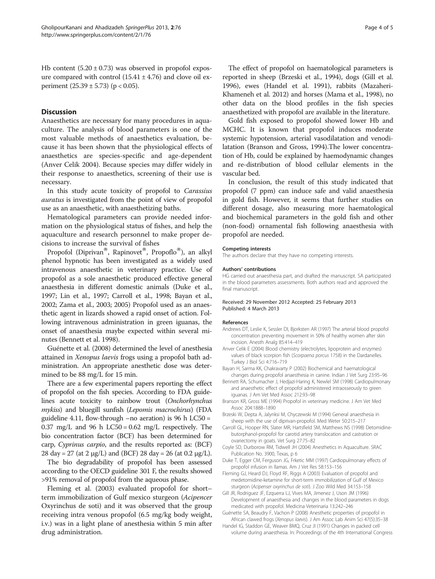<span id="page-3-0"></span>Hb content  $(5.20 \pm 0.73)$  was observed in propofol exposure compared with control  $(15.41 \pm 4.76)$  and clove oil experiment  $(25.39 \pm 5.73)$  (p < 0.05).

## **Discussion**

Anaesthetics are necessary for many procedures in aquaculture. The analysis of blood parameters is one of the most valuable methods of anaesthetics evaluation, because it has been shown that the physiological effects of anaesthetics are species-specific and age-dependent (Anver Celik 2004). Because species may differ widely in their response to anaesthetics, screening of their use is necessary.

In this study acute toxicity of propofol to Carassius auratus is investigated from the point of view of propofol use as an anaesthetic, with anaesthetizing baths.

Hematological parameters can provide needed information on the physiological status of fishes, and help the aquaculture and research personnel to make proper decisions to increase the survival of fishes

Propofol (Diprivan<sup>®</sup>, Rapinovet<sup>®</sup>, Propoflo®), an alkyl phenol hypnotic has been investigated as a widely used intravenous anaesthetic in veterinary practice. Use of propofol as a sole anaesthetic produced effective general anaesthesia in different domestic animals (Duke et al., 1997; Lin et al., [1997;](#page-4-0) Carroll et al., 1998; Bayan et al., 2002; Zama et al., [2003](#page-4-0); [2005\)](#page-4-0) Propofol used as an anaesthetic agent in lizards showed a rapid onset of action. Following intravenous administration in green iguanas, the onset of anaesthesia maybe expected within several minutes (Bennett et al. 1998).

Guénette et al. (2008) determined the level of anesthesia attained in Xenopus laevis frogs using a propofol bath administration. An appropriate anesthetic dose was determined to be 88 mg/L for 15 min.

There are a few experimental papers reporting the effect of propofol on the fish species. According to FDA guidelines acute toxicity to rainbow trout (Onchorhynchus mykiss) and bluegill sunfish (Lepomis macrochirus) (FDA guideline 4.11, flow-through  $-$ no aeration) is 96 h LC50 = 0.37 mg/L and 96 h LC50 = 0.62 mg/L respectively. The bio concentration factor (BCF) has been determined for carp, Cyprinus carpio, and the results reported as: (BCF) 28 day = 27 (at 2  $\mu$ g/L) and (BCF) 28 day = 26 (at 0.2  $\mu$ g/L).

The bio degradability of propofol has been assessed according to the OECD guideline 301 F, the results showed >91% removal of propofol from the aqueous phase.

Fleming et al. (2003) evaluated propofol for short– term immobilization of Gulf mexico sturgeon (Acipencer Oxyrinchus de soti) and it was observed that the group receiving intra venous propofol (6.5 mg/kg body weight, i.v.) was in a light plane of anesthesia within 5 min after drug administration.

The effect of propofol on haematological parameters is reported in sheep (Brzeski et al., 1994), dogs (Gill et al. 1996), ewes (Handel et al. 1991), rabbits (Mazaheri-Khameneh et al. [2012](#page-4-0)) and horses (Mama et al., [1998](#page-4-0)), no other data on the blood profiles in the fish species anaesthetized with propofol are available in the literature.

Gold fish exposed to propofol showed lower Hb and MCHC. It is known that propofol induces moderate systemic hypotension, arterial vasodilatation and venodilatation (Branson and Gross, 1994).The lower concentration of Hb, could be explained by haemodynamic changes and re-distribution of blood cellular elements in the vascular bed.

In conclusion, the result of this study indicated that propofol (7 ppm) can induce safe and valid anaesthesia in gold fish. However, it seems that further studies on different dosage, also measuring more haematological and biochemical parameters in the gold fish and other (non-food) ornamental fish following anaesthesia with propofol are needed.

#### Competing interests

The authors declare that they have no competing interests.

#### Authors' contributions

HG carried out anaesthesia part, and drafted the manuscript. SA participated in the blood parameters assessments. Both authors read and approved the final manuscript.

#### Received: 29 November 2012 Accepted: 25 February 2013 Published: 4 March 2013

#### References

- Andrews DT, Leslie K, Sessler DI, Bjorksten AR (1997) The arterial blood propofol concentration preventing movement in 50% of healthy women after skin incision. Anesth Analg 85:414–419
- Anver Celik E (2004) Blood chemistry (electrolytes, lipoprotein and enzymes) values of black scorpion fish (Scorpaena porcus 1758) in the Dardanelles. Turkey J Biol Sci 4:716–719
- Bayan H, Sarma KK, Chakravarty P (2002) Biochemical and haematological changes during propofol anaesthesia in canine. Indian J Vet Surg 23:95–96
- Bennett RA, Schumacher J, Hedjazi-Haring K, Newlel SM (1998) Cardiopulmonary and anaesthetic effect of propofol administered intraosseously to green iguanas. J Am Vet Med Assoc 212:93–98
- Branson KR, Gross ME (1994) Propofol in veterinary medicine. J Am Vet Med Assoc 204:1888–1890
- Brzeski W, Depta A, Jalynksi M, Chyczewski M (1994) General anaesthesia in sheep with the use of diprivan-propofol. Med Weter 50:215–217
- Carroll GL, Hooper RN, Slater MR, Hartsfield SM, Matthews NS (1998) Detomidinebutorphanol-propofol for carotid artery translocation and castration or ovariectomy in goats. Vet Surg 27:75–82
- Coyle SD, Durborow RM, Tidwell JH (2004) Anesthetics in Aquaculture. SRAC Publication No. 3900, Texas, p 6
- Duke T, Egger CM, Ferguson JG, Frketic MM (1997) Cardiopulmonary effects of propofol infusion in llamas. Am J Vet Res 58:153–156
- Fleming GJ, Heard DJ, Floyd RF, Riggs A (2003) Evaluation of propofol and medetomidine-ketamine for short-term immobilization of Gulf of Mexico sturgeon (Acipenser oxyrinchus de soti). J Zoo Wild Med 34:153–158
- Gill JR, Rodriguez JF, Ezquerra LJ, Vives MA, Jimenez J, Uson JM (1996) Development of anaesthesia and changes in the blood parameters in dogs medicated with propofol. Medicina Veterinaria 13:242–246
- Guénette SA, Beaudry F, Vachon P (2008) Anesthetic properties of propofol in African clawed frogs (Xenopus laevis). J Am Assoc Lab Anim Sci 47(5):35–38
- Handel IG, Staddon GE, Weaver BMQ, Cruz JI (1991) Changes in packed cell volume during anaesthesia. In: Proceedings of the 4th International Congress